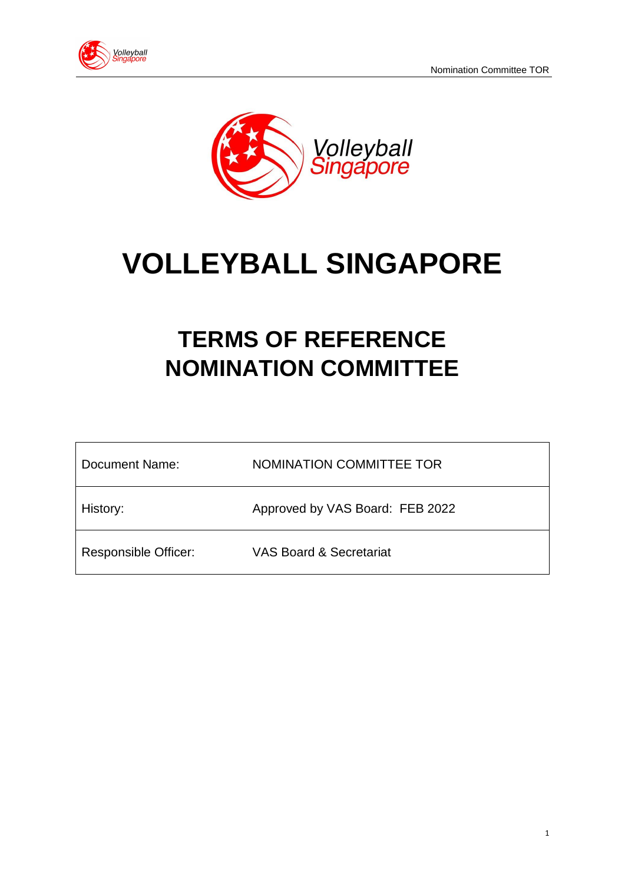



# **VOLLEYBALL SINGAPORE**

# **TERMS OF REFERENCE NOMINATION COMMITTEE**

| Document Name:              | NOMINATION COMMITTEE TOR           |
|-----------------------------|------------------------------------|
| History:                    | Approved by VAS Board: FEB 2022    |
| <b>Responsible Officer:</b> | <b>VAS Board &amp; Secretariat</b> |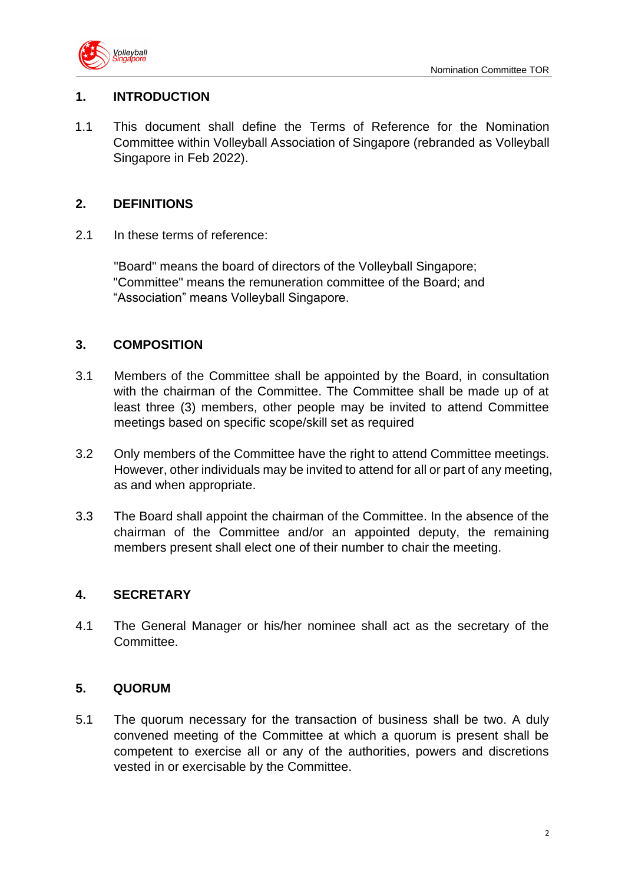

#### **1. INTRODUCTION**

1.1 This document shall define the Terms of Reference for the Nomination Committee within Volleyball Association of Singapore (rebranded as Volleyball Singapore in Feb 2022).

#### **2. DEFINITIONS**

2.1 In these terms of reference:

"Board" means the board of directors of the Volleyball Singapore; "Committee" means the remuneration committee of the Board; and "Association" means Volleyball Singapore.

#### **3. COMPOSITION**

- 3.1 Members of the Committee shall be appointed by the Board, in consultation with the chairman of the Committee. The Committee shall be made up of at least three (3) members, other people may be invited to attend Committee meetings based on specific scope/skill set as required
- 3.2 Only members of the Committee have the right to attend Committee meetings. However, other individuals may be invited to attend for all or part of any meeting, as and when appropriate.
- 3.3 The Board shall appoint the chairman of the Committee. In the absence of the chairman of the Committee and/or an appointed deputy, the remaining members present shall elect one of their number to chair the meeting.

#### **4. SECRETARY**

4.1 The General Manager or his/her nominee shall act as the secretary of the Committee.

# **5. QUORUM**

5.1 The quorum necessary for the transaction of business shall be two. A duly convened meeting of the Committee at which a quorum is present shall be competent to exercise all or any of the authorities, powers and discretions vested in or exercisable by the Committee.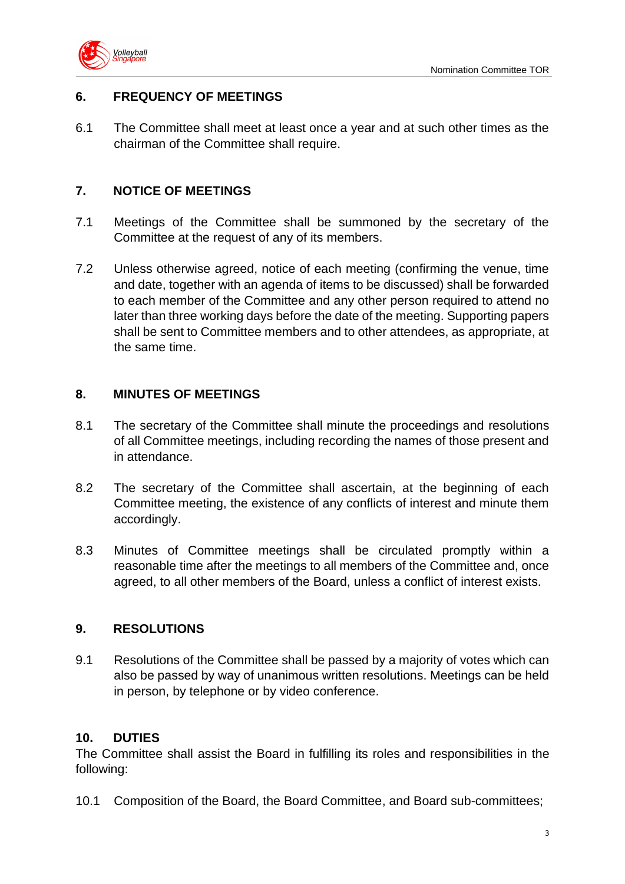

# **6. FREQUENCY OF MEETINGS**

6.1 The Committee shall meet at least once a year and at such other times as the chairman of the Committee shall require.

#### **7. NOTICE OF MEETINGS**

- 7.1 Meetings of the Committee shall be summoned by the secretary of the Committee at the request of any of its members.
- 7.2 Unless otherwise agreed, notice of each meeting (confirming the venue, time and date, together with an agenda of items to be discussed) shall be forwarded to each member of the Committee and any other person required to attend no later than three working days before the date of the meeting. Supporting papers shall be sent to Committee members and to other attendees, as appropriate, at the same time.

#### **8. MINUTES OF MEETINGS**

- 8.1 The secretary of the Committee shall minute the proceedings and resolutions of all Committee meetings, including recording the names of those present and in attendance.
- 8.2 The secretary of the Committee shall ascertain, at the beginning of each Committee meeting, the existence of any conflicts of interest and minute them accordingly.
- 8.3 Minutes of Committee meetings shall be circulated promptly within a reasonable time after the meetings to all members of the Committee and, once agreed, to all other members of the Board, unless a conflict of interest exists.

#### **9. RESOLUTIONS**

9.1 Resolutions of the Committee shall be passed by a majority of votes which can also be passed by way of unanimous written resolutions. Meetings can be held in person, by telephone or by video conference.

#### **10. DUTIES**

The Committee shall assist the Board in fulfilling its roles and responsibilities in the following:

10.1 Composition of the Board, the Board Committee, and Board sub-committees;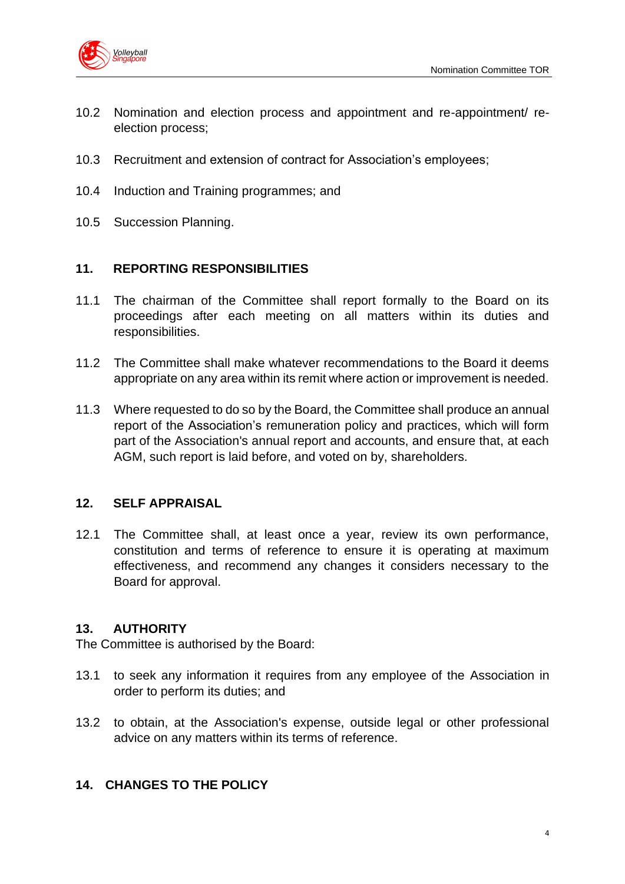

- 10.2 Nomination and election process and appointment and re-appointment/ reelection process;
- 10.3 Recruitment and extension of contract for Association's employees;
- 10.4 Induction and Training programmes; and
- 10.5 Succession Planning.

#### **11. REPORTING RESPONSIBILITIES**

- 11.1 The chairman of the Committee shall report formally to the Board on its proceedings after each meeting on all matters within its duties and responsibilities.
- 11.2 The Committee shall make whatever recommendations to the Board it deems appropriate on any area within its remit where action or improvement is needed.
- 11.3 Where requested to do so by the Board, the Committee shall produce an annual report of the Association's remuneration policy and practices, which will form part of the Association's annual report and accounts, and ensure that, at each AGM, such report is laid before, and voted on by, shareholders.

#### **12. SELF APPRAISAL**

12.1 The Committee shall, at least once a year, review its own performance, constitution and terms of reference to ensure it is operating at maximum effectiveness, and recommend any changes it considers necessary to the Board for approval.

# **13. AUTHORITY**

The Committee is authorised by the Board:

- 13.1 to seek any information it requires from any employee of the Association in order to perform its duties; and
- 13.2 to obtain, at the Association's expense, outside legal or other professional advice on any matters within its terms of reference.

# **14. CHANGES TO THE POLICY**